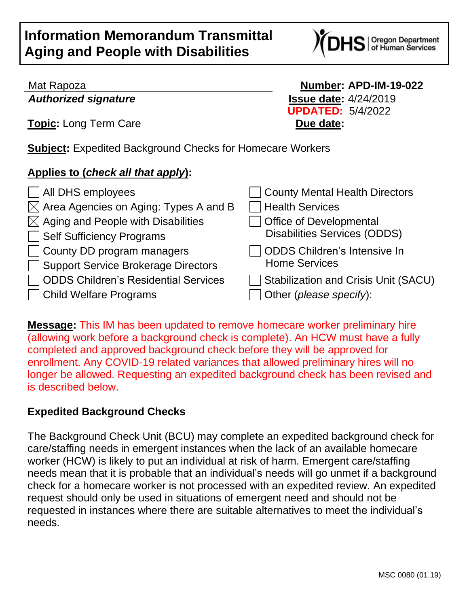

*Authorized signature* **Issue date:** 4/24/2019

**Topic:** Long Term Care **Due date:** 

Mat Rapoza **Number: APD-IM-19-022 UPDATED:** 5/4/2022

**Subject:** Expedited Background Checks for Homecare Workers

## **Applies to (***check all that apply***):**

| $\Box$ All DHS employees                          | County Mental Health Directors              |
|---------------------------------------------------|---------------------------------------------|
| $\boxtimes$ Area Agencies on Aging: Types A and B | <b>Health Services</b>                      |
| $\boxtimes$ Aging and People with Disabilities    | Office of Developmental                     |
| Self Sufficiency Programs                         | <b>Disabilities Services (ODDS)</b>         |
| $\Box$ County DD program managers                 | ODDS Children's Intensive In                |
| Support Service Brokerage Directors               | <b>Home Services</b>                        |
| □ ODDS Children's Residential Services            | <b>Stabilization and Crisis Unit (SACU)</b> |
| □ Child Welfare Programs                          | Other (please specify):                     |

**Message:** This IM has been updated to remove homecare worker preliminary hire (allowing work before a background check is complete). An HCW must have a fully completed and approved background check before they will be approved for enrollment. Any COVID-19 related variances that allowed preliminary hires will no longer be allowed. Requesting an expedited background check has been revised and is described below.

## **Expedited Background Checks**

The Background Check Unit (BCU) may complete an expedited background check for care/staffing needs in emergent instances when the lack of an available homecare worker (HCW) is likely to put an individual at risk of harm. Emergent care/staffing needs mean that it is probable that an individual's needs will go unmet if a background check for a homecare worker is not processed with an expedited review. An expedited request should only be used in situations of emergent need and should not be requested in instances where there are suitable alternatives to meet the individual's needs.